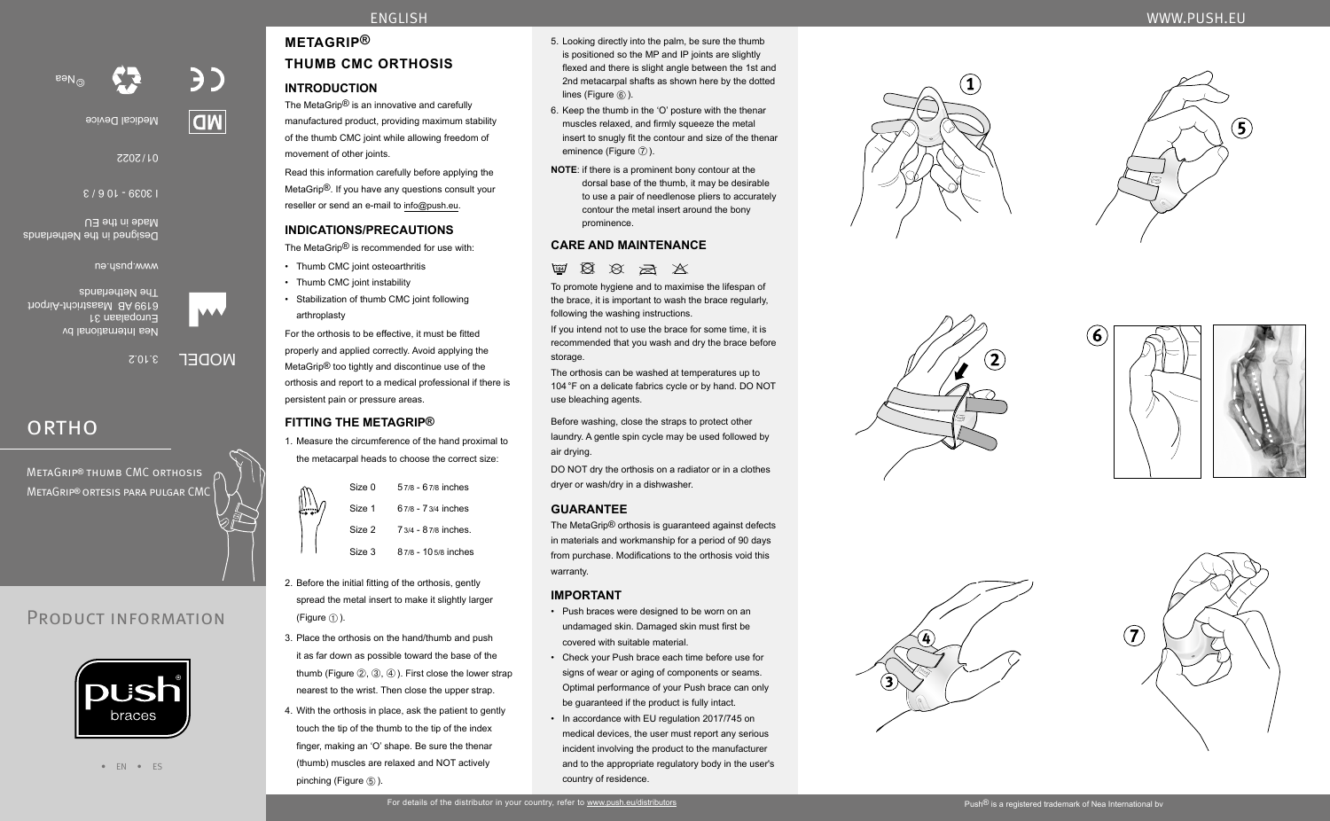

# **METAGRIP® THUMB CMC ORTHOSIS**

## **INTRODUCTION**

The MetaGrip® is an innovative and carefully manufactured product, providing maximum stability of the thumb CMC joint while allowing freedom of movement of other joints.

Read this information carefully before applying the MetaGrip®. If you have any questions consult your reseller or send an e-mail to info@push.eu.

## **INDICATIONS/PRECAUTIONS**

The MetaGrip® is recommended for use with:

- Thumb CMC joint osteoarthritis
- Thumb CMC joint instability
- Stabilization of thumb CMC joint following arthroplasty

For the orthosis to be effective, it must be fitted properly and applied correctly. Avoid applying the MetaGrip® too tightly and discontinue use of the orthosis and report to a medical professional if there is persistent pain or pressure areas.

## **FITTING THE METAGRIP®**

1. Measure the circumference of the hand proximal to the metacarpal heads to choose the correct size:

|   | Size 0 | 57/8 - 67/8 inches  |
|---|--------|---------------------|
| ₩ | Size 1 | 67/8 - 73/4 inches  |
|   | Size 2 | 73/4 - 87/8 inches. |
|   | Size 3 | 87/8 - 105/8 inches |

- 2. Before the initial fitting of the orthosis, gently spread the metal insert to make it slightly larger (Figure  $(i)$ ).
- 3. Place the orthosis on the hand/thumb and push it as far down as possible toward the base of the thumb (Figure  $(2), (3), (4)$ ). First close the lower strap nearest to the wrist. Then close the upper strap.
- 4. With the orthosis in place, ask the patient to gently touch the tip of the thumb to the tip of the index finger, making an 'O' shape. Be sure the thenar (thumb) muscles are relaxed and NOT actively pinching (Figure  $\circledS$ ).
- 5. Looking directly into the palm, be sure the thumb is positioned so the MP and IP joints are slightly flexed and there is slight angle between the 1st and 2nd metacarpal shafts as shown here by the dotted lines (Figure ⑥).
- 6. Keep the thumb in the 'O' posture with the thenar muscles relaxed, and firmly squeeze the metal insert to snugly fit the contour and size of the thenar eminence (Figure  $(7)$ ).
- **NOTE**: if there is a prominent bony contour at the dorsal base of the thumb, it may be desirable to use a pair of needlenose pliers to accurately contour the metal insert around the bony prominence.

## **CARE AND MAINTENANCE**

 $\boxtimes$   $\boxtimes$   $\boxtimes$   $\boxtimes$ 

To promote hygiene and to maximise the lifespan of the brace, it is important to wash the brace regularly, following the washing instructions.

If you intend not to use the brace for some time, it is recommended that you wash and dry the brace before storage.

The orthosis can be washed at temperatures up to 104°F on a delicate fabrics cycle or by hand. DO NOT use bleaching agents.

Before washing, close the straps to protect other laundry. A gentle spin cycle may be used followed by air drying.

DO NOT dry the orthosis on a radiator or in a clothes dryer or wash/dry in a dishwasher.

## **GUARANTEE**

The MetaGrip® orthosis is guaranteed against defects in materials and workmanship for a period of 90 days from purchase. Modifications to the orthosis void this warranty.

## **IMPORTANT**

- Push braces were designed to be worn on an undamaged skin. Damaged skin must first be covered with suitable material.
- Check your Push brace each time before use for signs of wear or aging of components or seams. Optimal performance of your Push brace can only be guaranteed if the product is fully intact.
- In accordance with EU regulation 2017/745 on medical devices, the user must report any serious incident involving the product to the manufacturer and to the appropriate regulatory body in the user's country of residence.













• EN • ES

**DU:SI** braces

Nea International bv Europalaan 31

The Netherlands

www.push.eu

Made in the EU

I 3039 - 10 6 / 3

Medical Device

2022 / 01

3.10.2 MODEL

BD.

**OW** 

# **ORTHO**

MetaGrip**®** thumb CMC orthosis MetaGrip**®** ortesis para pulgar CMC

PRODUCT INFORMATION

hoqniA-thointasaM 8A 6618

Designed in the Netherlands

©Nea